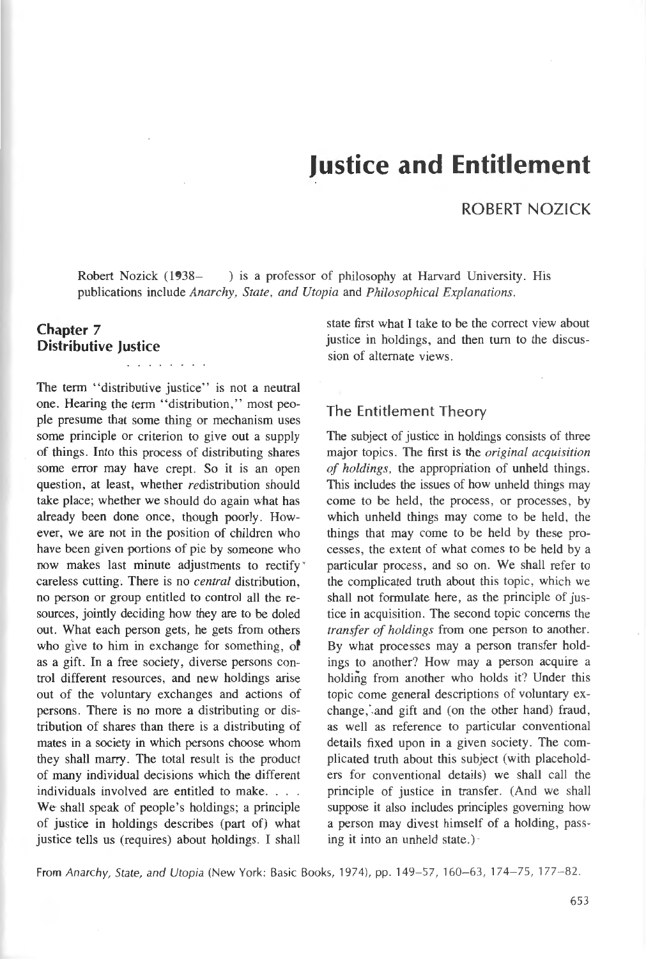# **Justice and Entitlement**

# ROBERT NOZICK

Robert Nozick  $(1938 - )$  is a professor of philosophy at Harvard University. His publications include *Anarchy, State, and Utopia* and *Philosophical Explanations.* 

# **Chapter** 7 **Distributive Justice**

 $\sim$ 

The term "distributive justice" is not a neutral one. Hearing the term "distribution," most people presume that some thing or mechanism uses some principle or criterion to give out a supply of things. Into this process of distributing shares some error may have crept. So it is an open question, at least, whether redistribution should take place; whether we should do again what has already been done once, though poorly. However, we are not in the position of children who have been given portions of pie by someone who now makes last minute adjustments to rectify careless cutting. There is no *central* distribution, no person or group entitled to control all the resources, jointly deciding how they are to be doled out. What each person gets, he gets from others who give to him in exchange for something,  $\sigma$ <sup> $\uparrow$ </sup> as a gift. In a free society, diverse persons control different resources, and new holdings arise out of the voluntary exchanges and actions of persons. There is no more a distributing or distribution of shares than there is a distributing of mates in a society in which persons choose whom they shall marry. The total result is the product of many individual decisions which the different individuals involved are entitled to make. . . . We shall speak of people's holdings; a principle of justice in holdings describes (part of) what justice tells us (requires) about holdings. I shall

state first what I take to be the correct view about justice in holdings, and then turn to the discussion of alternate views.

#### The Entitlement Theory

The subject of justice in holdings consists of three major topics. The first is the *original acquisition of holdings,* the appropriation of unheld things. This includes the issues of how unheld things may come to be held, the process, or processes, by which unheld things may come to be held, the things that may come to be held by these processes, the extent of what comes to be held by a particular process, and so on. We shall refer to the complicated truth about this topic, which we shall not formulate here, as the principle of justice in acquisition. The second topic concerns the *transfer of holdings* from one person to another. By what processes may a person transfer holdings to another? How may a person acquire a holding from another who holds it? Under this topic come general descriptions of voluntary exchange, and gift and (on the other hand) fraud, as well as reference to particular conventional details fixed upon in a given society. The complicated truth about this subject (with placeholders for conventional details) we shall call the principle of justice in transfer. (And we shall suppose it also includes principles governing how a person may divest himself of a holding, passing it into an unheld state.) ·

From *Anarchy, State, and Utopia* (New York: Basic Books, 1974), pp. 149–57, 160–63, 174–75, 177–82.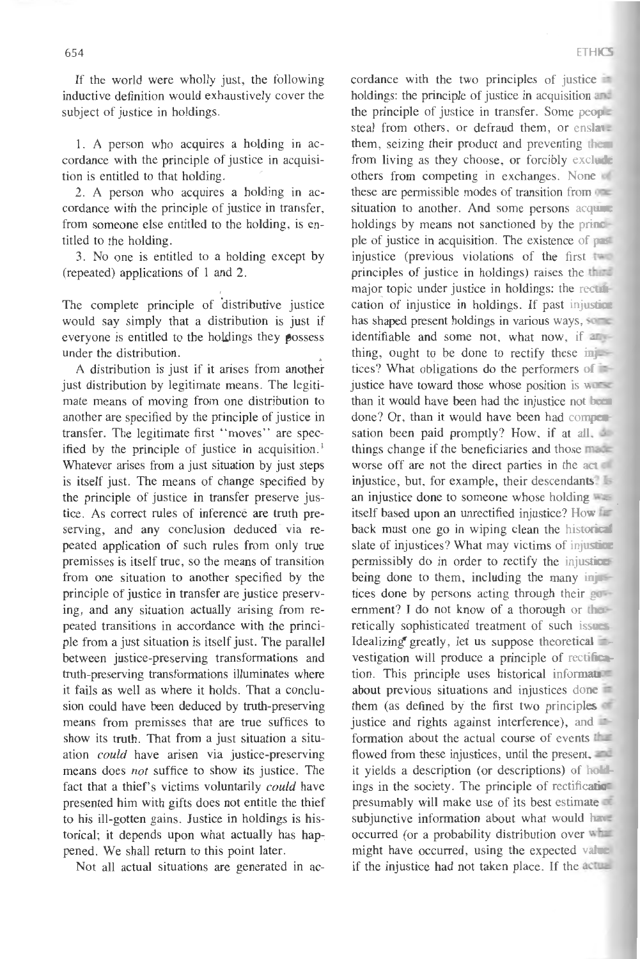If the world were wholly just, the following inductive definition would exhaustively cover the subject of justice in holdings.

I. A person who acquires a holding in accordance with the principle of justice in acquisition is entitled to that holding.

2. A person who acquires a holding in accordance with the principle of justice in transfer, from someone else entitled to the holding. is entitled to the holding.

3. No one is entitled to a holding except by (repeated) applications of I and 2.

The complete principle of distributive justice would say simply that a distribution is just if everyone is entitled to the holdings they possess under the distribution.

A distribution is just if it arises from another just distribution by legitimate means. The legitimate means of moving from one distribution to another are specified by the principle of justice in transfer. The legitimate first "moves" are specified by the principle of justice in acquisition.<sup>1</sup> Whatever arises from a just situation by just steps is itself just. The means of change specified by the principle of justice in transfer preserve justice. As correct rules of inference are truth preserving, and any conclusion deduced via repeated application of such rules from only true premisses is itself true , so the means of transition from one situation to another specified by the principle of justice in transfer are justice preserving, and any situation actually arising from repeated transitions in accordance with the principle from a just situation is itself just. The parallel between justice-preserving transformations and truth-preserving transformations illuminates where it fails as well as where it holds. That a conclusion could have been deduced by truth-preserving means from premisses that are true suffices to show its truth. That from a just situation a situation *could* have arisen via justice-preserving means does *not* suffice to show its justice. The fact that a thief's victims voluntarily *could* have presented him with gifts does not entitle the thief to his ill-gotten gains. Justice in holdings is historical; it depends upon what actually has happened. We shall return to this point later

Not all actual situations are generated in ac-

cordance with the two principles of justice  $\equiv$ holdings: the principle of justice in acquisition and the principle of justice in transfer. Some people steal from others, or defraud them, or enslate them, seizing their product and preventing them from living as they choose, or forcibly exclude others from competing in exchanges. None these are permissible modes of transition from  $\equiv$ situation to another. And some persons acquaint holdings by means not sanctioned by the princle ple of justice in acquisition. The existence of past injustice (previous violations of the first  $\mathbb{I}$ principles of justice in holdings) raises the there major topic under justice in holdings: the rectification of injustice in holdings. If past injustice has shaped present holdings in various ways,  $\frac{1}{2}$ identifiable and some not, what now, if  $a$ thing, ought to be done to rectify these  $\text{inj}$ . tices? What obligations do the performers of  $\equiv$ justice have toward those whose position is  $w \equiv$ than it would have been had the injustice not been done? Or, than it would have been had compensation been paid promptly? How, if at all. things change if the beneficiaries and those worse off are not the direct parties in the act injustice, but, for example, their descendants. an injustice done to someone whose holding itself based upon an unrectified injustice? How far back must one go in wiping clean the historical slate of injustices? What may victims of injustice permissibly do in order to rectify the injusticebeing done to them, including the many injurtices done by persons acting through their g ernment? I do not know of a thorough or the retically sophisticated treatment of such issues Idealizing greatly, let us suppose theoretical  $\blacksquare$ vestigation will produce a principle of rectification. This principle uses historical information about previous situations and injustices done them (as defined by the first two principles justice and rights against interference), and formation about the actual course of events  $\mathbb{I}$ flowed from these injustices, until the present, it yields a description (or descriptions) of h ings in the society. The principle of rectification presumably will make use of its best estimate subjunctive information about what would have  $occurred$  (or a probability distribution over  $W^{\perp\perp}$ ) might have occurred, using the expected value if the injustice had not taken place. If the actual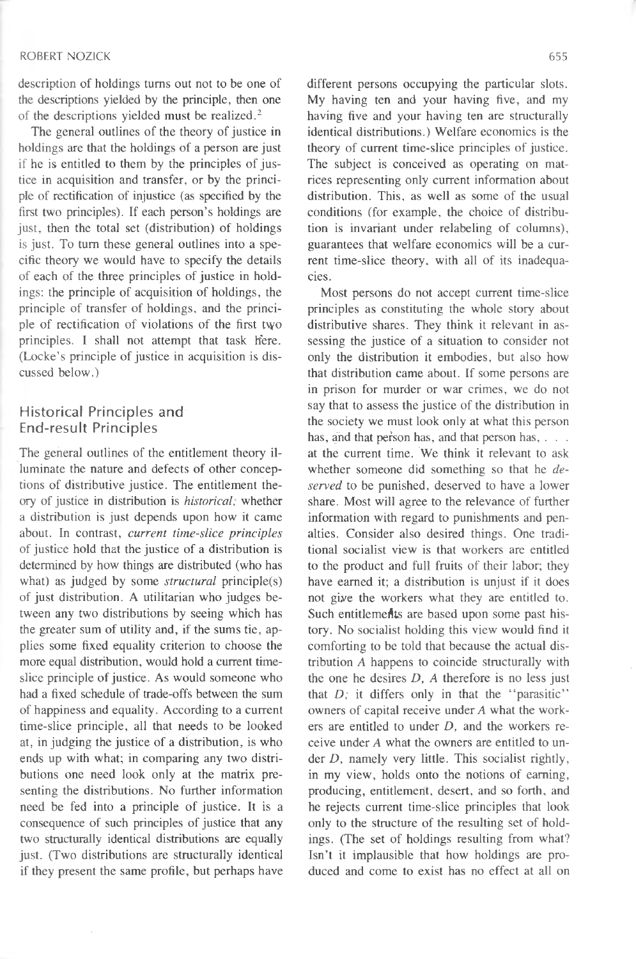#### ROBERT NOZICK

description of holdings turns out not to be one of the descriptions yielded by the principle, then one of the descriptions yielded must be realized. 2

The general outlines of the theory of justice in holdings are that the holdings of a person are just if he is entitled to them by the principles of justice in acquisition and transfer, or by the principle of rectification of injustice (as specified by the first two principles). If each person's holdings are just, then the total set (distribution) of holdings is just. To turn these general outlines into a specific theory we would have to specify the details of each of the three principles of justice in holdings: the principle of acquisition of holdings, the principle of transfer of holdings, and the principle of rectification of violations of the first two principles. I shall not attempt that task here. (Locke's principle of justice in acquisition is discussed below.)

# Historical Principles and **End-result Principles**

The general outlines of the entitlement theory illuminate the nature and defects of other conceptions of distributive justice. The entitlement theory of justice in distribution is *historical:* whether a distribution is just depends upon how it came about. In contrast, *current time-slice principles*  of justice hold that the justice of a distribution is determined by how things are distributed (who has what) as judged by some *structural* principle(s) of just distribution. A utilitarian who judges between any two distributions by seeing which has the greater sum of utility and, if the sums tie, applies some fixed equality criterion to choose the more equal distribution, would hold a current timeslice principle of justice. As would someone who had a fixed schedule of trade-offs between the sum of happiness and equality . According to a current time-slice principle, all that needs to be looked at, in judging the justice of a distribution, is who ends up with what; in comparing any two distributions one need look only at the matrix presenting the distributions. No further information need be fed into a principle of justice . It is a consequence of such principles of justice that any two structurally identical distributions are equally just. (Two distributions are structurally identical if they present the same profile, but perhaps have different persons occupying the particular slots. My having ten and your having five, and my having five and your having ten are structurally identical distributions.) Welfare economics is the theory of current time-slice principles of justice. The subject is conceived as operating on matrices representing only current information about distribution. This, as well as some of the usual conditions (for example, the choice of distribution is invariant under relabeling of columns), guarantees that welfare economics will be a current time-slice theory, with all of its inadequacies.

Most persons do not accept current time-slice principles as constituting the whole story about distributive shares. They think it relevant in assessing the justice of a situation to consider not only the distribution it embodies, but also how that distribution came about. If some persons are in prison for murder or war crimes, we do not say that to assess the justice of the distribution in the society we must look only at what this person has, and that person has, and that person has,  $\ldots$ . at the current time. We think it relevant to ask whether someone did something so that he *deserved* to be punished, deserved to have a lower share. Most will agree to the relevance of further information with regard to punishments and penalties. Consider also desired things. One traditional socialist view is that workers are entitled to the product and full fruits of their labor; they have earned it; a distribution is unjust if it does not give the workers what they are entitled to. Such entitlements are based upon some past history. No socialist holding this view would find it comforting to be told that because the actual distribution *A* happens to coincide structurally with the one he desires *D, A* therefore is no less just that  $D$ ; it differs only in that the "parasitic" owners of capital receive under *A* what the workers are entitled to under *D,* and the workers receive under *A* what the owners are entitled to under *D,* namely very little. This socialist rightly, in my view, holds onto the notions of earning, producing, entitlement, desert, and so forth, and he rejects current time-slice principles that look only to the structure of the resulting set of holdings. (The set of holdings resulting from what? Isn't it implausible that how holdings are produced and come to exist has no effect at all on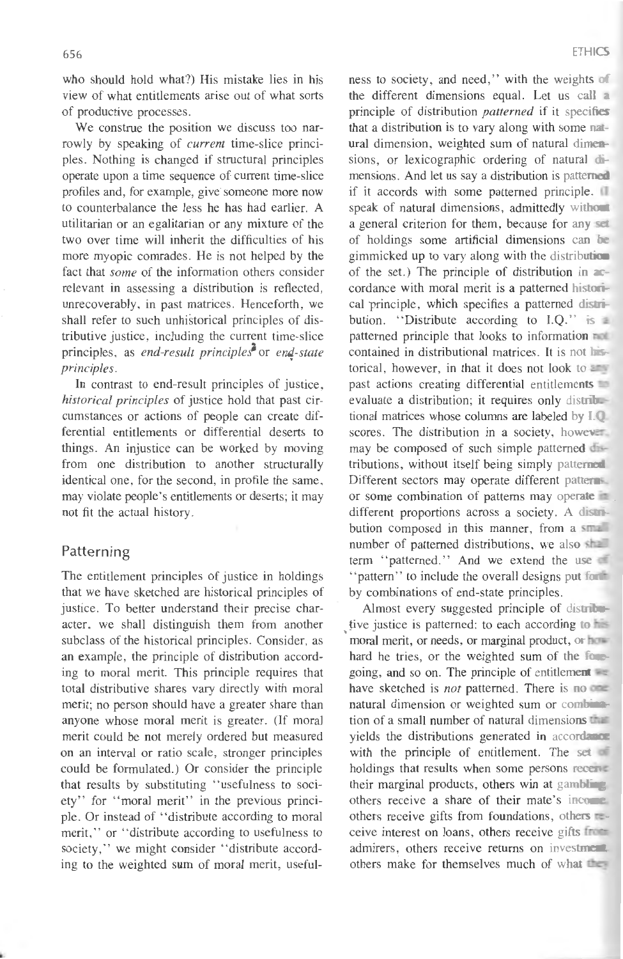who should hold what?) His mistake lies in his view of what entitlements arise out of what sorts of productive processes.

We construe the position we discuss too narrowly by speaking of *current* time-slice principles. Nothing is changed if structural principles operate upon a time sequence of current time-slice profiles and, for example, give someone more now to counterbalance the less he has had earlier. A utilitarian or an egalitarian or any mixture of the two over time will inherit the difficulties of his more myopic comrades. He is not helped by the fact that *some* of the information others consider relevant in assessing a distribution is reflected, unrecoverably, in past matrices. Henceforth, we shall refer to such unhistorical principles of distributive justice , including the current time-slice principles, as *end-result principle:}* or *enol-state principles.* 

In contrast to end-result principles of justice, *historical principles* of justice hold that past circumstances or actions of people can create differential entitlements or differential deserts to things. An injustice can be worked by moving from one distribution to another structurally identical one, for the second, in profile the same, may violate people 's entitlements or deserts; it may not fit the actual history.

#### Patterning

The entitlement principles of justice in holdings that we have sketched are historical principles of justice. To better understand their precise character, we shall distinguish them from another subclass of the historical principles. Consider, as an example, the principle of distribution according to moral merit. This principle requires that total distributive shares vary directly with moral merit; no person should have a greater share than anyone whose moral merit is greater. (If moral merit could be not merely ordered but measured on an interval or ratio scale, stronger principles could be formulated.) Or consider the principle that results by substituting "usefulness to society" for "moral merit" in the previous principle. Or instead of "distribute according to moral merit, " or "distribute according to usefulness to society," we might consider "distribute according to the weighted sum of moral merit, usefulness to society, and need," with the weights of the different dimensions equal. Let us call  $a$ principle of distribution *patterned* if it specifies that a distribution is to vary along with some natural dimension, weighted sum of natural dimensions, or lexicographic ordering of natural  $\mathbb{d}$ mensions. And let us say a distribution is patterned if it accords with some patterned principle. speak of natural dimensions, admittedly without a general criterion for them, because for any set of holdings some artificial dimensions can be gimmicked up to vary along with the distribution of the set.) The principle of distribution in  $\infty$ cordance with moral merit is a patterned historical principle, which specifies a patterned distribution. "Distribute according to I.Q." is patterned principle that looks to information contained in distributional matrices. It is not torical, however, in that it does not look to  $\sim$ past actions creating differential entitlements evaluate a distribution; it requires only distributional matrices whose columns are labeled by I.O. scores. The distribution in a society, however may be composed of such simple patterned tributions, without itself being simply patterned Different sectors may operate different patterns. or some combination of patterns may operate different proportions across a society. A distribution composed in this manner, from a  $\sin \theta$ number of patterned distributions, we also term "patterned." And we extend the use "pattern" to include the overall designs put for by combinations of end-state principles.

Almost every suggested principle of distributive justice is patterned: to each according to  $\pm$ moral merit, or needs, or marginal product, or  $\mathbb{R}$ hard he tries, or the weighted sum of the foregoing, and so on. The principle of entitlement have sketched is *not* patterned. There is no natural dimension or weighted sum or combinetion of a small number of natural dimensions  $\pm$ yields the distributions generated in accordance with the principle of entitlement. The set holdings that results when some persons receive their marginal products, others win at gam others receive a share of their mate 's in others receive gifts from foundations, others ceive interest on loans, others receive gifts from admirers, others receive returns on investment. others make for themselves much of what **the**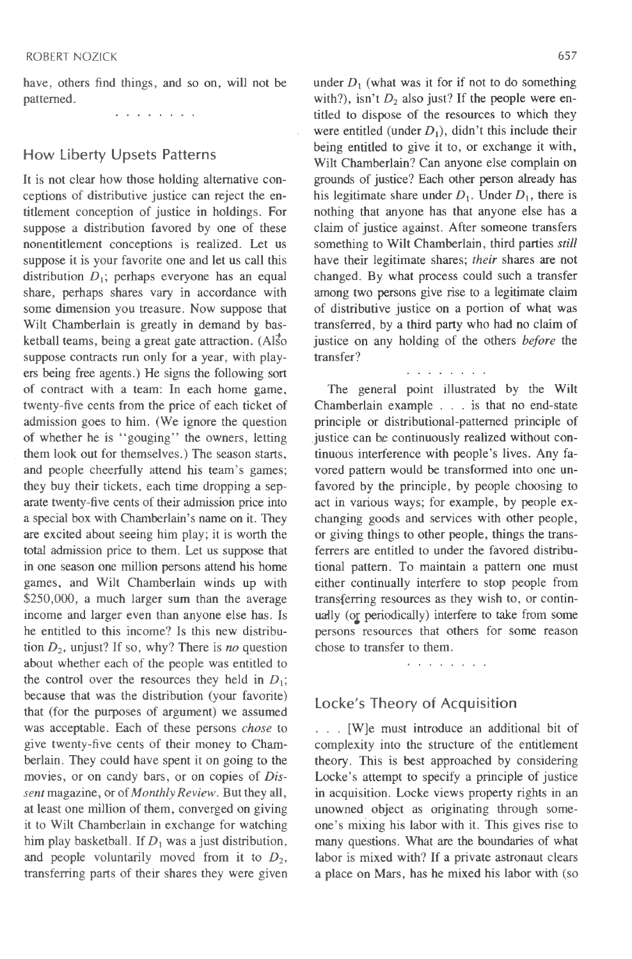have, others find things, and so on, will not be patterned.

### How Liberty Upsets Patterns

It is not clear how those holding alternative conceptions of distributive justice can reject the entitlement conception of justice in holdings. For suppose a distribution favored by one of these nonentitlement conceptions is realized. Let us suppose it is your favorite one and let us call this distribution  $D_1$ ; perhaps everyone has an equal share, perhaps shares vary in accordance with some dimension you treasure. Now suppose that Wilt Chamberlain is greatly in demand by basketball teams, being a great gate attraction. (Also suppose contracts run only for a year, with players being free agents.) He signs the following sort of contract with a team: In each home game, twenty-five cents from the price of each ticket of admission goes to him. (We ignore the question of whether he is " gouging" the owners, letting them look out for themselves.) The season starts, and people cheerfully attend his team's games; they buy their tickets, each time dropping a separate twenty-five cents of their admission price into a special box with Chamberlain's name on it. They are excited about seeing him play; it is worth the total admission price to them. Let us suppose that in one season one million persons attend his home games, and Wilt Chamberlain winds up with \$250,000, a much larger sum than the average income and larger even than anyone else has. Is he entitled to this income? Is this new distribution  $D_2$ , unjust? If so, why? There is *no* question about whether each of the people was entitled to the control over the resources they held in  $D_1$ ; because that was the distribution (your favorite) that (for the purposes of argument) we assumed was acceptable. Each of these persons *chose* to give twenty-five cents of their money to Chamberlain. They could have spent it on going to the movies, or on candy bars, or on copies of *Dissent* magazine, or of *Monthly Review.* But they all, at least one million of them, converged on giving it to Wilt Chamberlain in exchange for watching him play basketball. If  $D_1$  was a just distribution, and people voluntarily moved from it to  $D_2$ , transferring parts of their shares they were given

under  $D_1$  (what was it for if not to do something with?), isn't  $D<sub>2</sub>$  also just? If the people were entitled to dispose of the resources to which they were entitled (under  $D_1$ ), didn't this include their being entitled to give it to, or exchange it with, Wilt Chamberlain? Can anyone else complain on grounds of justice? Each other person already has his legitimate share under  $D_1$ . Under  $D_1$ , there is nothing that anyone has that anyone else has a claim of justice against. After someone transfers something to Wilt Chamberlain, third parties *still*  have their legitimate shares; *their* shares are not changed. By what process could such a transfer among two persons give rise to a legitimate claim of distributive justice on a portion of what was transferred, by a third party who had no claim of justice on any holding of the others *before* the transfer?

والمناولة والمناورة The general point illustrated by the Wilt Chamberlain example . . . is that no end-state principle or distributional-patterned principle of justice can be continuously realized without continuous interference with people's lives. Any favored pattern would be transformed into one unfavored by the principle, by people choosing to act in various ways; for example, by people exchanging goods and services with other people, or giving things to other people, things the transferrers are entitled to under the favored distributional pattern. To maintain a pattern one must either continually interfere to stop people from transferring resources as they wish to, or continually (or periodically) interfere to take from some persons resources that others for some reason chose to transfer to them.

# Locke's Theory of Acquisition

. . . [W]e must introduce an additional bit of complexity into the structure of the entitlement theory. This is best approached by considering Locke's attempt to specify a principle of justice in acquisition. Locke views property rights in an unowned object as originating through someone's mixing his labor with it. This gives rise to many questions. What are the boundaries of what labor is mixed with? If a private astronaut clears a place on Mars, has he mixed his labor with (so

. . . . . . . .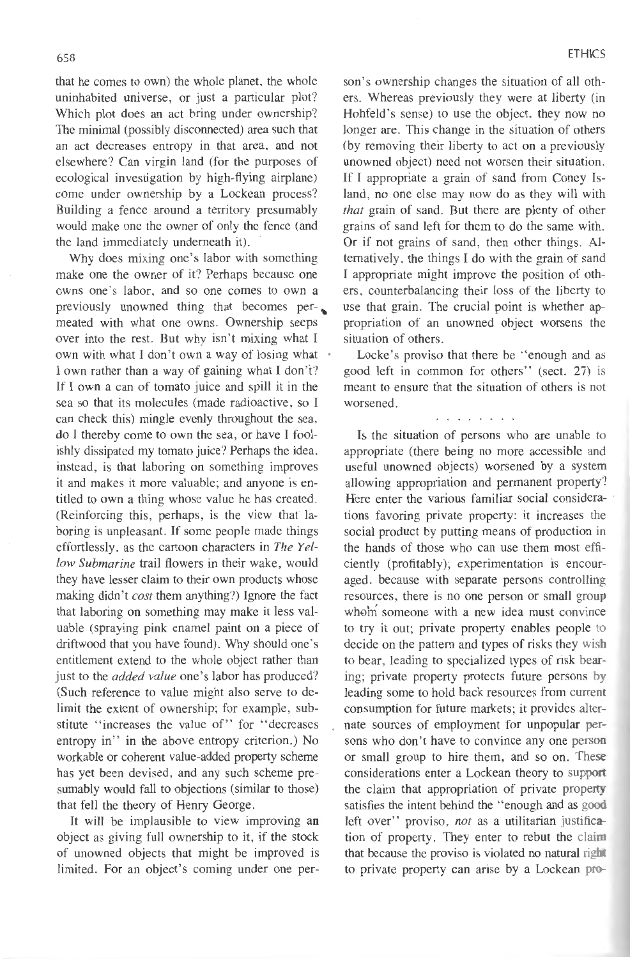that he comes to own) the whole planet, the whole uninhabited universe, or just a particular plot? Which plot does an act bring under ownership? The minimal (possibly disconnected) area such that an act decreases entropy in that area, and not elsewhere? Can virgin land (for the purposes of ecological investigation by high-flying airplane) come under ownership by a Lockean process? Building a fence around a territory presumably would make one the owner of only the fence (and the land immediately underneath it).

Why does mixing one's labor with something make one the owner of it? Perhaps because one owns one 's labor, and so one comes to own a previously unowned thing that becomes per- $\epsilon$ meated with what one owns. Ownership seeps over into the rest. But why isn't mixing what I own with what I don 't own a way of losing what I own rather than a way of gaining what I don 't? If I own a can of tomato juice and spill it in the sea so that its molecules (made radioactive, so I can check this) mingle evenly throughout the sea, do I thereby come to own the sea, or have I foolishly dissipated my tomato juice? Perhaps the idea, instead, is that laboring on something improves it and makes it more valuable; and anyone is entitled to own a thing whose value he has created. (Reinforcing this, perhaps, is the view that laboring is unpleasant. If some people made things effortlessly , as the cartoon characters in *The Yellow Submarine* trail flowers in their wake, would they have lesser claim to their own products whose making didn't *cost* them anything?) Ignore the fact that laboring on something may make it less valuable (spraying pink enamel paint on a piece of driftwood that you have found). Why should one's entitlement extend to the whole object rather than just to the *added value* one's labor has produced? (Such reference to value might also serve to delimit the extent of ownership; for example, substitute "increases the value of" for "decreases entropy in" in the above entropy criterion.) No workable or coherent value-added property scheme has yet been devised, and any such scheme presumably would fall to objections (similar to those) that fell the theory of Henry George.

It will be implausible to view improving an object as giving full ownership to it, if the stock of unowned objects that might be improved is limited. For an object's coming under one person's ownership changes the situation of all others. Whereas previously they were at liberty (in Hohfeld 's sense) to use the object, they now no longer are. This change in the situation of others (by removing their liberty to act on a previously unowned object) need not worsen their situation. If I appropriate a grain of sand from Coney Island, no one else may now do as they will with *that* grain of sand. But there are plenty of other grains of sand left for them to do the same with. Or if not grains of sand, then other things. Alternatively, the things I do with the grain of sand I appropriate might improve the position of others, counterbalancing their loss of the liberty to use that grain. The crucial point is whether appropriation of an unowned object worsens the situation of others.

Locke's proviso that there be "enough and as good left in common for others" (sect. 27) is meant to ensure that the situation of others is not worsened.

and a strain of

Is the situation of persons who are unable to appropriate (there being no more accessible and useful unowned objects) worsened by a system allowing appropriation and permanent property? Here enter the various familiar social considerations favoring private property: it increases the social product by putting means of production in the hands of those who can use them most efficiently (profitably); experimentation is encouraged, because with separate persons controlling resources, there is no one person or small group whom' someone with a new idea must convince to try it out; private property enables people to decide on the pattern and types of risks they wish to bear, leading to specialized types of risk bearing; private property protects future persons by leading some to hold back resources from current consumption for future markets; it provides alternate sources of employment for unpopular persons who don't have to convince any one person or small group to hire them, and so on. These considerations enter a Lockean theory to support the claim that appropriation of private property satisfies the intent behind the "enough and as good left over" proviso, *not* as a utilitarian justification of property. They enter to rebut the clai that because the proviso is violated no natural right to private property can arise by a Lockean pro-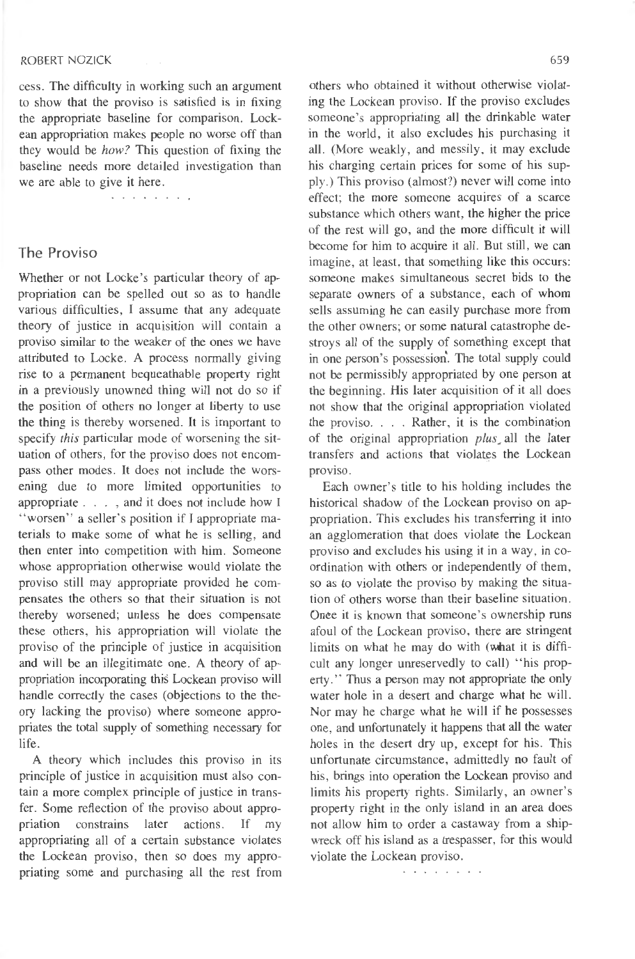#### ROBERT NOZICK

cess. The difficulty in working such an argument to show that the proviso is satisfied is in fixing the appropriate baseline for comparison. Lockean appropriation makes people no worse off than they would be *how?* This question of fixing the baseline needs more detailed investigation than we are able to give it here.

## **The** Proviso

Whether or not Locke's particular theory of appropriation can be spelled out so as to handle various difficulties, I assume that any adequate theory of justice in acquisition will contain a proviso similar to the weaker of the ones we have attributed to Locke . A process normally giving rise to a permanent bequeathable property right in a previously unowned thing will not do so if the position of others no longer at liberty to use the thing is thereby worsened. It is important to specify *this* particular mode of worsening the situation of others, for the proviso does not encompass other modes. It does not include the worsening due to more limited opportunities to appropriate . . . , and it does not include how I " worsen" a seller's position if I appropriate materials to make some of what he is selling, and then enter into competition with him. Someone whose appropriation otherwise would violate the proviso still may appropriate provided he compensates the others so that their situation is not thereby worsened; unless he does compensate these others, his appropriation will violate the proviso of the principle of justice in acquisition and will be an illegitimate one. A theory of appropriation incorporating this Lockean proviso will handle correctly the cases (objections to the theory lacking the proviso) where someone appropriates the total supply of something necessary for life.

A theory which includes this proviso in its principle of justice in acquisition must also contain a more complex principle of justice in transfer. Some reflection of the proviso about appropriation constrains later actions. If my appropriating all of a certain substance violates the Lockean proviso, then so does my appropriating some and purchasing all the rest from others who obtained it without otherwise violating the Lockean proviso. If the proviso excludes someone's appropriating all the drinkable water in the world, it also excludes his purchasing it all. (More weakly, and messily, it may exclude his charging certain prices for some of his supply.) This proviso (almost?) never will come into effect; the more someone acquires of a scarce substance which others want, the higher the price of the rest will go, and the more difficult it will become for him to acquire it all. But still, we can imagine, at least, that something like this occurs: someone makes simultaneous secret bids to the separate owners of a substance, each of whom sells assuming he can easily purchase more from the other owners; or some natural catastrophe destroys all of the supply of something except that in one person's possession'. The total supply could not be permissibly appropriated by one person at the beginning. His later acquisition of it all does not show that the original appropriation violated the proviso. . . . Rather, it is the combination of the original appropriation *plus* all the later transfers and actions that violates the Lockean proviso.

Each owner's title to his holding includes the historical shadow of the Lockean proviso on appropriation. This excludes his transferring it into an agglomeration that does violate the Lockean proviso and excludes his using it in a way, in coordination with others or independently of them, so as to violate the proviso by making the situation of others worse than their baseline situation. Onee it is known that someone's ownership runs afoul of the Lockean proviso, there are stringent limits on what he may do with (what it is difficult any longer unreservedly to call) "his property.'' Thus a person may not appropriate the only water hole in a desert and charge what he will. Nor may he charge what he will if he possesses one, and unfortunately it happens that all the water holes in the desert dry up, except for his. This unfortunate circumstance, admittedly no fault of his, brings into operation the Lockean proviso and limits his property rights. Similarly, an owner's property right in the only island in an area does not allow him to order a castaway from a shipwreck off his island as a trespasser, for this would violate the Lockean proviso.

. . . . . . . .